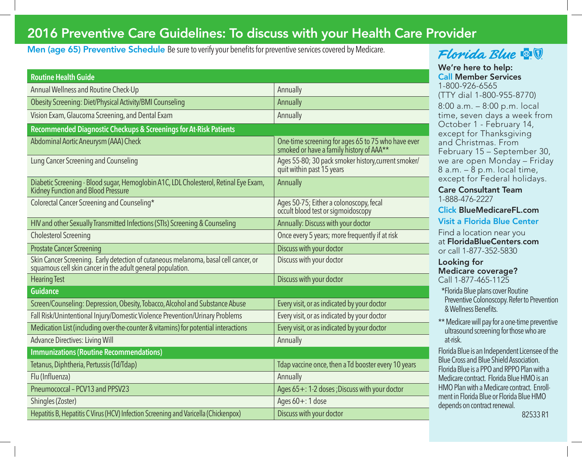## 2016 Preventive Care Guidelines: To discuss with your Health Care Provider

Men (age 65) Preventive Schedule Be sure to verify your benefits for preventive services covered by Medicare.

| <b>Routine Health Guide</b>                                                                                                                       |                                                                                                |  |  |
|---------------------------------------------------------------------------------------------------------------------------------------------------|------------------------------------------------------------------------------------------------|--|--|
| Annual Wellness and Routine Check-Up                                                                                                              | Annually                                                                                       |  |  |
| Obesity Screening: Diet/Physical Activity/BMI Counseling                                                                                          | Annually                                                                                       |  |  |
| Vision Exam, Glaucoma Screening, and Dental Exam                                                                                                  | Annually                                                                                       |  |  |
| Recommended Diagnostic Checkups & Screenings for At-Risk Patients                                                                                 |                                                                                                |  |  |
| Abdominal Aortic Aneurysm (AAA) Check                                                                                                             | One-time screening for ages 65 to 75 who have ever<br>smoked or have a family history of AAA** |  |  |
| Lung Cancer Screening and Counseling                                                                                                              | Ages 55-80; 30 pack smoker history, current smoker/<br>quit within past 15 years               |  |  |
| Diabetic Screening - Blood sugar, Hemoglobin A1C, LDL Cholesterol, Retinal Eye Exam, Kidney Function and Blood Pressure                           | Annually                                                                                       |  |  |
| Colorectal Cancer Screening and Counseling*                                                                                                       | Ages 50-75; Either a colonoscopy, fecal<br>occult blood test or sigmoidoscopy                  |  |  |
| HIV and other Sexually Transmitted Infections (STIs) Screening & Counseling                                                                       | Annually: Discuss with your doctor                                                             |  |  |
| <b>Cholesterol Screening</b>                                                                                                                      | Once every 5 years; more frequently if at risk                                                 |  |  |
| <b>Prostate Cancer Screening</b>                                                                                                                  | Discuss with your doctor                                                                       |  |  |
| Skin Cancer Screening. Early detection of cutaneous melanoma, basal cell cancer, or<br>squamous cell skin cancer in the adult general population. | Discuss with your doctor                                                                       |  |  |
| <b>Hearing Test</b>                                                                                                                               | Discuss with your doctor                                                                       |  |  |
| <b>Guidance</b>                                                                                                                                   |                                                                                                |  |  |
| Screen/Counseling: Depression, Obesity, Tobacco, Alcohol and Substance Abuse                                                                      | Every visit, or as indicated by your doctor                                                    |  |  |
| Fall Risk/Unintentional Injury/Domestic Violence Prevention/Urinary Problems                                                                      | Every visit, or as indicated by your doctor                                                    |  |  |
| Medication List (including over-the-counter & vitamins) for potential interactions                                                                | Every visit, or as indicated by your doctor                                                    |  |  |
| <b>Advance Directives: Living Will</b>                                                                                                            | Annually                                                                                       |  |  |
| <b>Immunizations (Routine Recommendations)</b>                                                                                                    |                                                                                                |  |  |
| Tetanus, Diphtheria, Pertussis (Td/Tdap)                                                                                                          | Tdap vaccine once, then a Td booster every 10 years                                            |  |  |
| Flu (Influenza)                                                                                                                                   | Annually                                                                                       |  |  |
| Pneumococcal - PCV13 and PPSV23                                                                                                                   | Ages 65+: 1-2 doses ; Discuss with your doctor                                                 |  |  |
| Shingles (Zoster)                                                                                                                                 | Ages 60+: 1 dose                                                                               |  |  |
| Hepatitis B, Hepatitis C Virus (HCV) Infection Screening and Varicella (Chickenpox)                                                               | Discuss with your doctor                                                                       |  |  |

## Florida Blue **& T**

We're here to help: Call Member Services 1-800-926-6565

(TTY dial 1-800-955-8770) 8:00 a.m. – 8:00 p.m. local time, seven days a week from October 1 - February 14, except for Thanksgiving and Christmas. From February 15 – September 30, we are open Monday – Friday 8 a.m. – 8 p.m. local time, except for Federal holidays.

Care Consultant Team 1-888-476-2227

Click BlueMedicareFL.com

Visit a Florida Blue Center

Find a location near you at FloridaBlueCenters.com or call 1-877-352-5830

Looking for Medicare coverage? Call 1-877-465-1125

\*Florida Blue plans cover Routine Preventive Colonoscopy. Refer to Prevention & Wellness Benefits.

\*\* Medicare will pay for a one-time preventive ultrasound screening for those who are at-risk.

Florida Blue is an Independent Licensee of the Blue Cross and Blue Shield Association. Florida Blue is a PPO and RPPO Plan with a Medicare contract. Florida Blue HMO is an HMO Plan with a Medicare contract. Enrollment in Florida Blue or Florida Blue HMO depends on contract renewal.

82533 R1